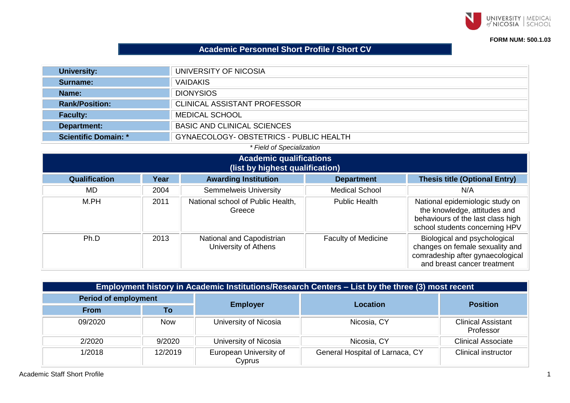

## **FORM NUM: 500.1.03**

## **Academic Personnel Short Profile / Short CV**

| <b>University:</b>                                                     | UNIVERSITY OF NICOSIA               |
|------------------------------------------------------------------------|-------------------------------------|
| Surname:                                                               | <b>VAIDAKIS</b>                     |
| <b>Name:</b>                                                           | <b>DIONYSIOS</b>                    |
| <b>Rank/Position:</b>                                                  | <b>CLINICAL ASSISTANT PROFESSOR</b> |
| <b>Faculty:</b>                                                        | MEDICAL SCHOOL                      |
| Department:                                                            | <b>BASIC AND CLINICAL SCIENCES</b>  |
| GYNAECOLOGY- OBSTETRICS - PUBLIC HEALTH<br><b>Scientific Domain: *</b> |                                     |

## *\* Field of Specialization*

| <b>Academic qualifications</b><br>(list by highest qualification) |      |                                                   |                            |                                                                                                                                        |  |
|-------------------------------------------------------------------|------|---------------------------------------------------|----------------------------|----------------------------------------------------------------------------------------------------------------------------------------|--|
| <b>Qualification</b>                                              | Year | <b>Awarding Institution</b>                       | <b>Department</b>          | <b>Thesis title (Optional Entry)</b>                                                                                                   |  |
| MD.                                                               | 2004 | <b>Semmelweis University</b>                      | <b>Medical School</b>      | N/A                                                                                                                                    |  |
| M.PH                                                              | 2011 | National school of Public Health,<br>Greece       | <b>Public Health</b>       | National epidemiologic study on<br>the knowledge, attitudes and<br>behaviours of the last class high<br>school students concerning HPV |  |
| Ph.D                                                              | 2013 | National and Capodistrian<br>University of Athens | <b>Faculty of Medicine</b> | Biological and psychological<br>changes on female sexuality and<br>comradeship after gynaecological<br>and breast cancer treatment     |  |

| Employment history in Academic Institutions/Research Centers – List by the three (3) most recent |            |                                  |                                 |                                        |  |
|--------------------------------------------------------------------------------------------------|------------|----------------------------------|---------------------------------|----------------------------------------|--|
| <b>Period of employment</b>                                                                      |            |                                  |                                 |                                        |  |
| <b>From</b>                                                                                      | To         | <b>Employer</b>                  | Location                        | <b>Position</b>                        |  |
| 09/2020                                                                                          | <b>Now</b> | University of Nicosia            | Nicosia, CY                     | <b>Clinical Assistant</b><br>Professor |  |
| 2/2020                                                                                           | 9/2020     | University of Nicosia            | Nicosia, CY                     | <b>Clinical Associate</b>              |  |
| 1/2018                                                                                           | 12/2019    | European University of<br>Cyprus | General Hospital of Larnaca, CY | <b>Clinical instructor</b>             |  |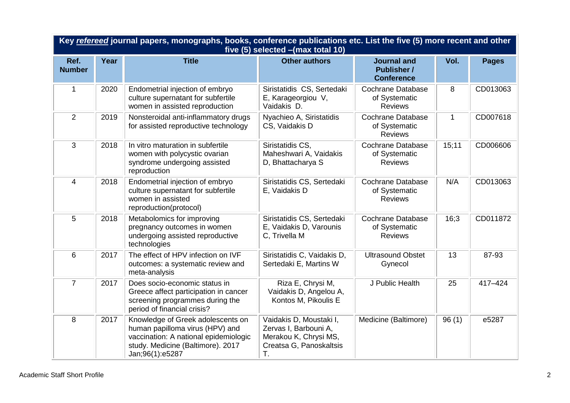| Key refereed journal papers, monographs, books, conference publications etc. List the five (5) more recent and other<br>five (5) selected - (max total 10) |      |                                                                                                                                                                       |                                                                                                            |                                                               |              |              |
|------------------------------------------------------------------------------------------------------------------------------------------------------------|------|-----------------------------------------------------------------------------------------------------------------------------------------------------------------------|------------------------------------------------------------------------------------------------------------|---------------------------------------------------------------|--------------|--------------|
| Ref.<br><b>Number</b>                                                                                                                                      | Year | <b>Title</b>                                                                                                                                                          | <b>Other authors</b>                                                                                       | <b>Journal and</b><br><b>Publisher /</b><br><b>Conference</b> | Vol.         | <b>Pages</b> |
| 1                                                                                                                                                          | 2020 | Endometrial injection of embryo<br>culture supernatant for subfertile<br>women in assisted reproduction                                                               | Siristatidis CS, Sertedaki<br>E, Karageorgiou V,<br>Vaidakis D.                                            | <b>Cochrane Database</b><br>of Systematic<br><b>Reviews</b>   | 8            | CD013063     |
| $\overline{2}$                                                                                                                                             | 2019 | Nonsteroidal anti-inflammatory drugs<br>for assisted reproductive technology                                                                                          | Nyachieo A, Siristatidis<br>CS, Vaidakis D                                                                 | <b>Cochrane Database</b><br>of Systematic<br><b>Reviews</b>   | $\mathbf{1}$ | CD007618     |
| 3                                                                                                                                                          | 2018 | In vitro maturation in subfertile<br>women with polycystic ovarian<br>syndrome undergoing assisted<br>reproduction                                                    | Siristatidis CS,<br>Maheshwari A, Vaidakis<br>D, Bhattacharya S                                            | <b>Cochrane Database</b><br>of Systematic<br><b>Reviews</b>   | 15;11        | CD006606     |
| 4                                                                                                                                                          | 2018 | Endometrial injection of embryo<br>culture supernatant for subfertile<br>women in assisted<br>reproduction(protocol)                                                  | Siristatidis CS, Sertedaki<br>E, Vaidakis D                                                                | <b>Cochrane Database</b><br>of Systematic<br><b>Reviews</b>   | N/A          | CD013063     |
| 5                                                                                                                                                          | 2018 | Metabolomics for improving<br>pregnancy outcomes in women<br>undergoing assisted reproductive<br>technologies                                                         | Siristatidis CS, Sertedaki<br>E, Vaidakis D, Varounis<br>C, Trivella M                                     | <b>Cochrane Database</b><br>of Systematic<br><b>Reviews</b>   | 16;3         | CD011872     |
| 6                                                                                                                                                          | 2017 | The effect of HPV infection on IVF<br>outcomes: a systematic review and<br>meta-analysis                                                                              | Siristatidis C, Vaidakis D,<br>Sertedaki E, Martins W                                                      | <b>Ultrasound Obstet</b><br>Gynecol                           | 13           | 87-93        |
| $\overline{7}$                                                                                                                                             | 2017 | Does socio-economic status in<br>Greece affect participation in cancer<br>screening programmes during the<br>period of financial crisis?                              | Riza E, Chrysi M,<br>Vaidakis D, Angelou A,<br>Kontos M, Pikoulis E                                        | J Public Health                                               | 25           | 417-424      |
| 8                                                                                                                                                          | 2017 | Knowledge of Greek adolescents on<br>human papilloma virus (HPV) and<br>vaccination: A national epidemiologic<br>study. Medicine (Baltimore). 2017<br>Jan;96(1):e5287 | Vaidakis D, Moustaki I,<br>Zervas I, Barbouni A,<br>Merakou K, Chrysi MS,<br>Creatsa G, Panoskaltsis<br>T. | Medicine (Baltimore)                                          | 96(1)        | e5287        |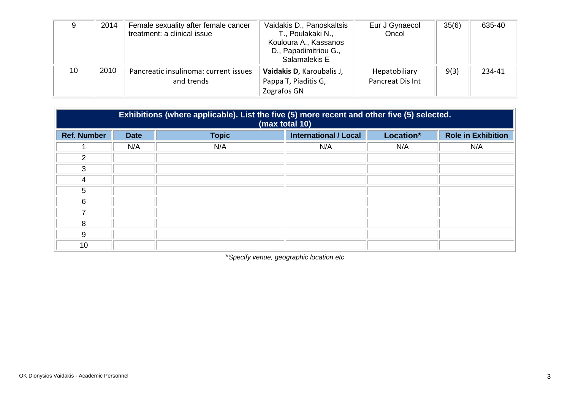| Ω  | 2014 | Female sexuality after female cancer<br>treatment: a clinical issue | Vaidakis D., Panoskaltsis<br>T., Poulakaki N.,<br>Kouloura A., Kassanos<br>D., Papadimitriou G.,<br>Salamalekis E | Eur J Gynaecol<br>Oncol           | 35(6) | 635-40 |
|----|------|---------------------------------------------------------------------|-------------------------------------------------------------------------------------------------------------------|-----------------------------------|-------|--------|
| 10 | 2010 | Pancreatic insulinoma: current issues<br>and trends                 | Vaidakis D, Karoubalis J,<br>Pappa T, Piaditis G,<br>Zografos GN                                                  | Hepatobiliary<br>Pancreat Dis Int | 9(3)  | 234-41 |

| Exhibitions (where applicable). List the five (5) more recent and other five (5) selected.<br>(max total 10) |             |              |                              |           |                           |  |
|--------------------------------------------------------------------------------------------------------------|-------------|--------------|------------------------------|-----------|---------------------------|--|
| <b>Ref. Number</b>                                                                                           | <b>Date</b> | <b>Topic</b> | <b>International / Local</b> | Location* | <b>Role in Exhibition</b> |  |
|                                                                                                              | N/A         | N/A          | N/A                          | N/A       | N/A                       |  |
| 2                                                                                                            |             |              |                              |           |                           |  |
| 3                                                                                                            |             |              |                              |           |                           |  |
| 4                                                                                                            |             |              |                              |           |                           |  |
| 5                                                                                                            |             |              |                              |           |                           |  |
| 6                                                                                                            |             |              |                              |           |                           |  |
|                                                                                                              |             |              |                              |           |                           |  |
| 8                                                                                                            |             |              |                              |           |                           |  |
| 9                                                                                                            |             |              |                              |           |                           |  |
| 10                                                                                                           |             |              |                              |           |                           |  |

\**Specify venue, geographic location etc*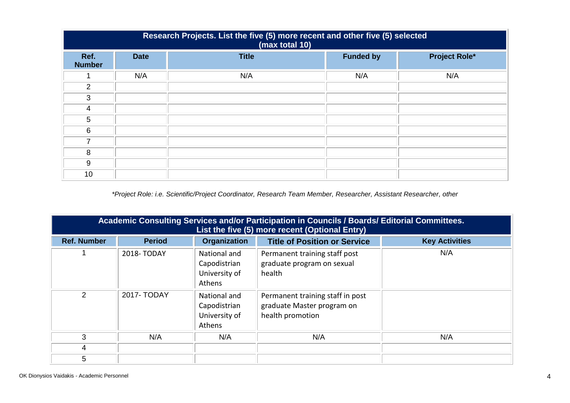| Research Projects. List the five (5) more recent and other five (5) selected<br>(max total 10) |             |              |                  |                      |  |  |
|------------------------------------------------------------------------------------------------|-------------|--------------|------------------|----------------------|--|--|
| Ref.<br><b>Number</b>                                                                          | <b>Date</b> | <b>Title</b> | <b>Funded by</b> | <b>Project Role*</b> |  |  |
|                                                                                                | N/A         | N/A          | N/A              | N/A                  |  |  |
| $\overline{2}$                                                                                 |             |              |                  |                      |  |  |
| 3                                                                                              |             |              |                  |                      |  |  |
| 4                                                                                              |             |              |                  |                      |  |  |
| 5                                                                                              |             |              |                  |                      |  |  |
| 6                                                                                              |             |              |                  |                      |  |  |
| $\overline{\phantom{a}}$                                                                       |             |              |                  |                      |  |  |
| 8                                                                                              |             |              |                  |                      |  |  |
| 9                                                                                              |             |              |                  |                      |  |  |
| 10                                                                                             |             |              |                  |                      |  |  |

*\*Project Role: i.e. Scientific/Project Coordinator, Research Team Member, Researcher, Assistant Researcher, other*

| Academic Consulting Services and/or Participation in Councils / Boards/ Editorial Committees.<br>List the five (5) more recent (Optional Entry) |               |                                                         |                                                                                    |                       |  |
|-------------------------------------------------------------------------------------------------------------------------------------------------|---------------|---------------------------------------------------------|------------------------------------------------------------------------------------|-----------------------|--|
| <b>Ref. Number</b>                                                                                                                              | <b>Period</b> | <b>Organization</b>                                     | <b>Title of Position or Service</b>                                                | <b>Key Activities</b> |  |
|                                                                                                                                                 | 2018-TODAY    | National and<br>Capodistrian<br>University of<br>Athens | Permanent training staff post<br>graduate program on sexual<br>health              | N/A                   |  |
| $\mathcal{P}$                                                                                                                                   | 2017- TODAY   | National and<br>Capodistrian<br>University of<br>Athens | Permanent training staff in post<br>graduate Master program on<br>health promotion |                       |  |
| 3                                                                                                                                               | N/A           | N/A                                                     | N/A                                                                                | N/A                   |  |
| 4                                                                                                                                               |               |                                                         |                                                                                    |                       |  |
| 5                                                                                                                                               |               |                                                         |                                                                                    |                       |  |